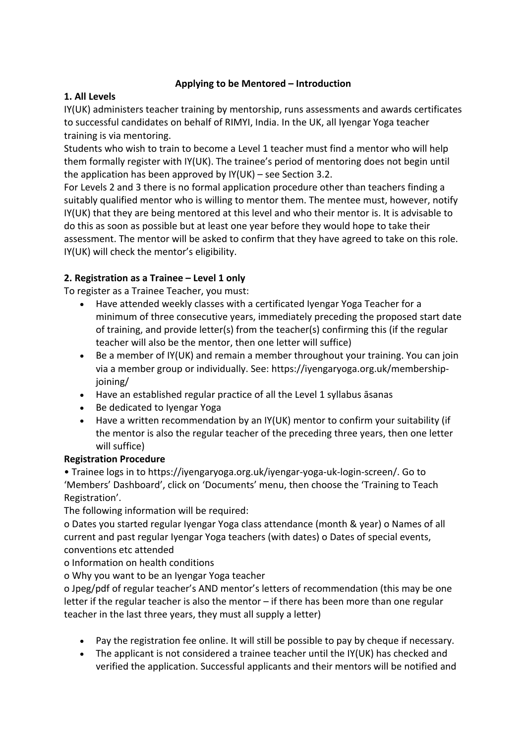#### **Applying to be Mentored – Introduction**

#### **1. All Levels**

IY(UK) administers teacher training by mentorship, runs assessments and awards certificates to successful candidates on behalf of RIMYI, India. In the UK, all Iyengar Yoga teacher training is via mentoring.

Students who wish to train to become a Level 1 teacher must find a mentor who will help them formally register with IY(UK). The trainee's period of mentoring does not begin until the application has been approved by IY(UK) – see Section 3.2.

For Levels 2 and 3 there is no formal application procedure other than teachers finding a suitably qualified mentor who is willing to mentor them. The mentee must, however, notify IY(UK) that they are being mentored at this level and who their mentor is. It is advisable to do this as soon as possible but at least one year before they would hope to take their assessment. The mentor will be asked to confirm that they have agreed to take on this role. IY(UK) will check the mentor's eligibility.

## **2. Registration as a Trainee – Level 1 only**

To register as a Trainee Teacher, you must:

- Have attended weekly classes with a certificated Iyengar Yoga Teacher for a minimum of three consecutive years, immediately preceding the proposed start date of training, and provide letter(s) from the teacher(s) confirming this (if the regular teacher will also be the mentor, then one letter will suffice)
- Be a member of IY(UK) and remain a member throughout your training. You can join via a member group or individually. See: https://iyengaryoga.org.uk/membershipjoining/
- Have an established regular practice of all the Level 1 syllabus āsanas
- Be dedicated to Iyengar Yoga
- Have a written recommendation by an IY(UK) mentor to confirm your suitability (if the mentor is also the regular teacher of the preceding three years, then one letter will suffice)

## **Registration Procedure**

• Trainee logs in to https://iyengaryoga.org.uk/iyengar-yoga-uk-login-screen/. Go to 'Members' Dashboard', click on 'Documents' menu, then choose the 'Training to Teach Registration'.

The following information will be required:

o Dates you started regular Iyengar Yoga class attendance (month & year) o Names of all current and past regular Iyengar Yoga teachers (with dates) o Dates of special events, conventions etc attended

o Information on health conditions

o Why you want to be an Iyengar Yoga teacher

o Jpeg/pdf of regular teacher's AND mentor's letters of recommendation (this may be one letter if the regular teacher is also the mentor – if there has been more than one regular teacher in the last three years, they must all supply a letter)

- Pay the registration fee online. It will still be possible to pay by cheque if necessary.
- The applicant is not considered a trainee teacher until the IY(UK) has checked and verified the application. Successful applicants and their mentors will be notified and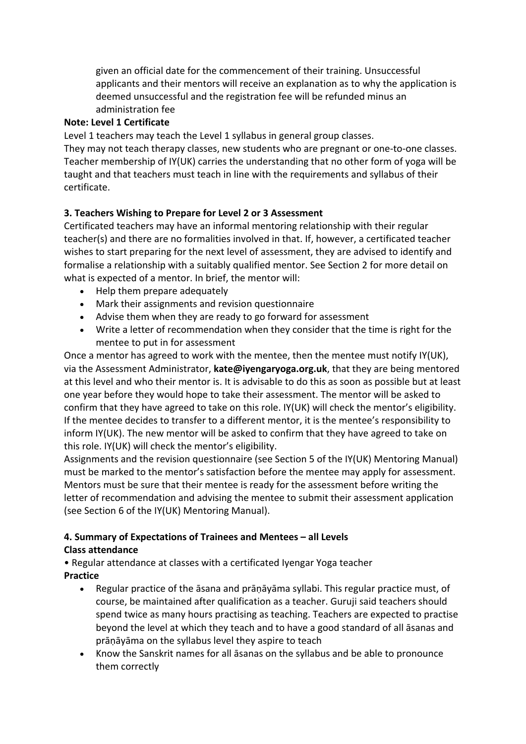given an official date for the commencement of their training. Unsuccessful applicants and their mentors will receive an explanation as to why the application is deemed unsuccessful and the registration fee will be refunded minus an administration fee

#### **Note: Level 1 Certificate**

Level 1 teachers may teach the Level 1 syllabus in general group classes.

They may not teach therapy classes, new students who are pregnant or one-to-one classes. Teacher membership of IY(UK) carries the understanding that no other form of yoga will be taught and that teachers must teach in line with the requirements and syllabus of their certificate.

#### **3. Teachers Wishing to Prepare for Level 2 or 3 Assessment**

Certificated teachers may have an informal mentoring relationship with their regular teacher(s) and there are no formalities involved in that. If, however, a certificated teacher wishes to start preparing for the next level of assessment, they are advised to identify and formalise a relationship with a suitably qualified mentor. See Section 2 for more detail on what is expected of a mentor. In brief, the mentor will:

- Help them prepare adequately
- Mark their assignments and revision questionnaire
- Advise them when they are ready to go forward for assessment
- Write a letter of recommendation when they consider that the time is right for the mentee to put in for assessment

Once a mentor has agreed to work with the mentee, then the mentee must notify IY(UK), via the Assessment Administrator, **kate@iyengaryoga.org.uk**, that they are being mentored at this level and who their mentor is. It is advisable to do this as soon as possible but at least one year before they would hope to take their assessment. The mentor will be asked to confirm that they have agreed to take on this role. IY(UK) will check the mentor's eligibility. If the mentee decides to transfer to a different mentor, it is the mentee's responsibility to inform IY(UK). The new mentor will be asked to confirm that they have agreed to take on this role. IY(UK) will check the mentor's eligibility.

Assignments and the revision questionnaire (see Section 5 of the IY(UK) Mentoring Manual) must be marked to the mentor's satisfaction before the mentee may apply for assessment. Mentors must be sure that their mentee is ready for the assessment before writing the letter of recommendation and advising the mentee to submit their assessment application (see Section 6 of the IY(UK) Mentoring Manual).

## **4. Summary of Expectations of Trainees and Mentees – all Levels**

#### **Class attendance**

• Regular attendance at classes with a certificated Iyengar Yoga teacher

## **Practice**

- Regular practice of the āsana and prāṇāyāma syllabi. This regular practice must, of course, be maintained after qualification as a teacher. Guruji said teachers should spend twice as many hours practising as teaching. Teachers are expected to practise beyond the level at which they teach and to have a good standard of all āsanas and prāṇāyāma on the syllabus level they aspire to teach
- Know the Sanskrit names for all āsanas on the syllabus and be able to pronounce them correctly